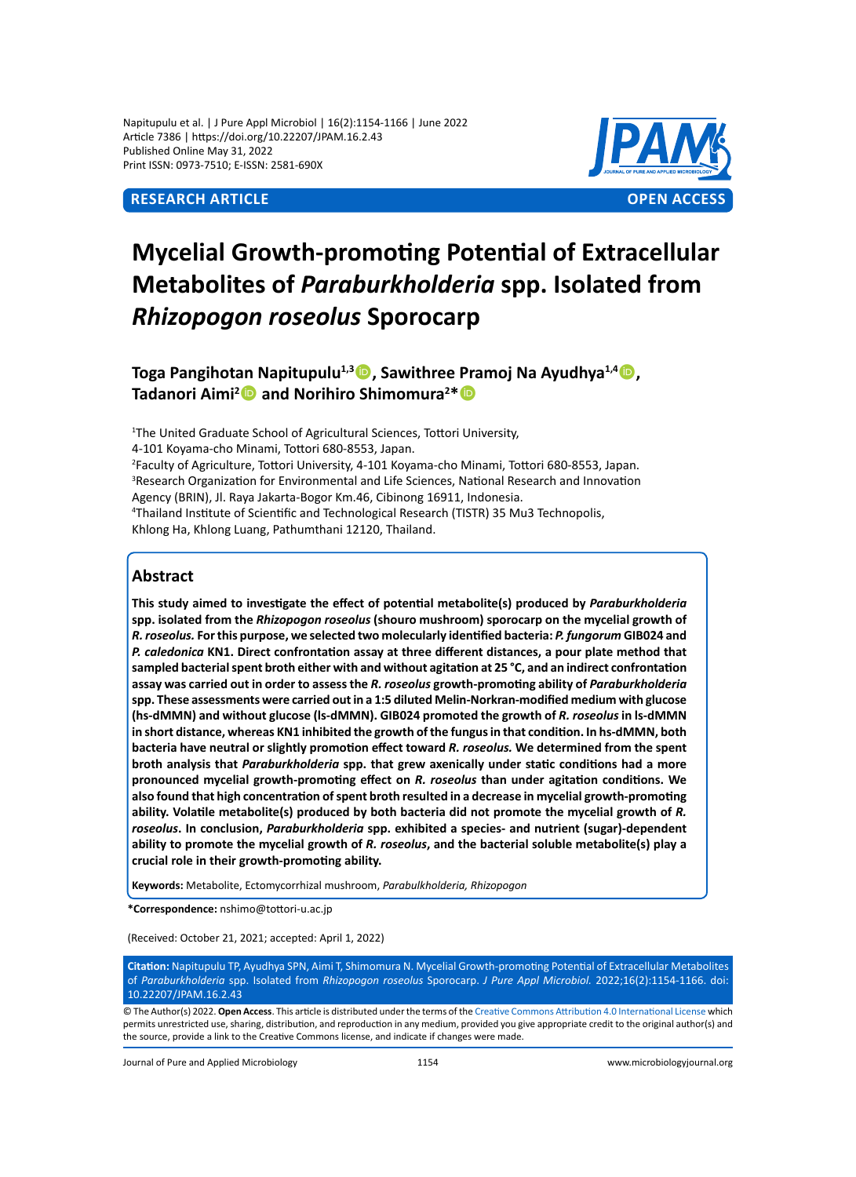Napitupulu et al. | J Pure Appl Microbiol | 16(2):1154-1166 | June 2022 Article 7386 | https://doi.org/10.22207/JPAM.16.2.43 Published Online May 31, 2022 Print ISSN: 0973-7510; E-ISSN: 2581-690X



# **Mycelial Growth-promoting Potential of Extracellular Metabolites of** *Paraburkholderia* **spp. Isolated from**  *Rhizopogon roseolus* **Sporocarp**

**Toga Pangihotan Napitupulu1,3, Sawithree Pramoj Na Ayudhya1,4, Tadanori Aimi<sup>2</sup> and Norihiro Shimomura<sup>2\*</sup> <sup>6</sup>** 

<sup>1</sup>The United Graduate School of Agricultural Sciences, Tottori University, 4-101 Koyama-cho Minami, Tottori 680-8553, Japan. 2 Faculty of Agriculture, Tottori University, 4-101 Koyama-cho Minami, Tottori 680-8553, Japan. 3 Research Organization for Environmental and Life Sciences, National Research and Innovation Agency (BRIN), Jl. Raya Jakarta-Bogor Km.46, Cibinong 16911, Indonesia. 4 Thailand Institute of Scientific and Technological Research (TISTR) 35 Mu3 Technopolis, Khlong Ha, Khlong Luang, Pathumthani 12120, Thailand.

# **Abstract**

**This study aimed to investigate the effect of potential metabolite(s) produced by** *Paraburkholderia* **spp. isolated from the** *Rhizopogon roseolus* **(shouro mushroom) sporocarp on the mycelial growth of**  *R. roseolus.* **For this purpose, we selected two molecularly identified bacteria:** *P. fungorum* **GIB024 and**  *P. caledonica* **KN1. Direct confrontation assay at three different distances, a pour plate method that sampled bacterial spent broth either with and without agitation at 25 °C, and an indirect confrontation assay was carried out in order to assess the** *R. roseolus* **growth-promoting ability of** *Paraburkholderia* **spp. These assessments were carried out in a 1:5 diluted Melin-Norkran-modified medium with glucose (hs-dMMN) and without glucose (ls-dMMN). GIB024 promoted the growth of** *R. roseolus* **in ls-dMMN in short distance, whereas KN1 inhibited the growth of the fungus in that condition. In hs-dMMN, both bacteria have neutral or slightly promotion effect toward** *R. roseolus.* **We determined from the spent broth analysis that** *Paraburkholderia* **spp. that grew axenically under static conditions had a more pronounced mycelial growth-promoting effect on** *R. roseolus* **than under agitation conditions. We also found that high concentration of spent broth resulted in a decrease in mycelial growth-promoting**  ability. Volatile metabolite(s) produced by both bacteria did not promote the mycelial growth of R. *roseolus***. In conclusion,** *Paraburkholderia* **spp. exhibited a species- and nutrient (sugar)-dependent ability to promote the mycelial growth of** *R. roseolus***, and the bacterial soluble metabolite(s) play a crucial role in their growth-promoting ability.** 

**Keywords:** Metabolite, Ectomycorrhizal mushroom, *Parabulkholderia, Rhizopogon*

**\*Correspondence:** nshimo@tottori-u.ac.jp

(Received: October 21, 2021; accepted: April 1, 2022)

**Citation:** Napitupulu TP, Ayudhya SPN, Aimi T, Shimomura N. Mycelial Growth-promoting Potential of Extracellular Metabolites of *Paraburkholderia* spp. Isolated from *Rhizopogon roseolus* Sporocarp. *J Pure Appl Microbiol.* 2022;16(2):1154-1166. doi: 10.22207/JPAM.16.2.43

© The Author(s) 2022. **Open Access**. This article is distributed under the terms of the [Creative Commons Attribution 4.0 International License](https://creativecommons.org/licenses/by/4.0/) which permits unrestricted use, sharing, distribution, and reproduction in any medium, provided you give appropriate credit to the original author(s) and the source, provide a link to the Creative Commons license, and indicate if changes were made.

Journal of Pure and Applied Microbiology 1154 www.microbiologyjournal.org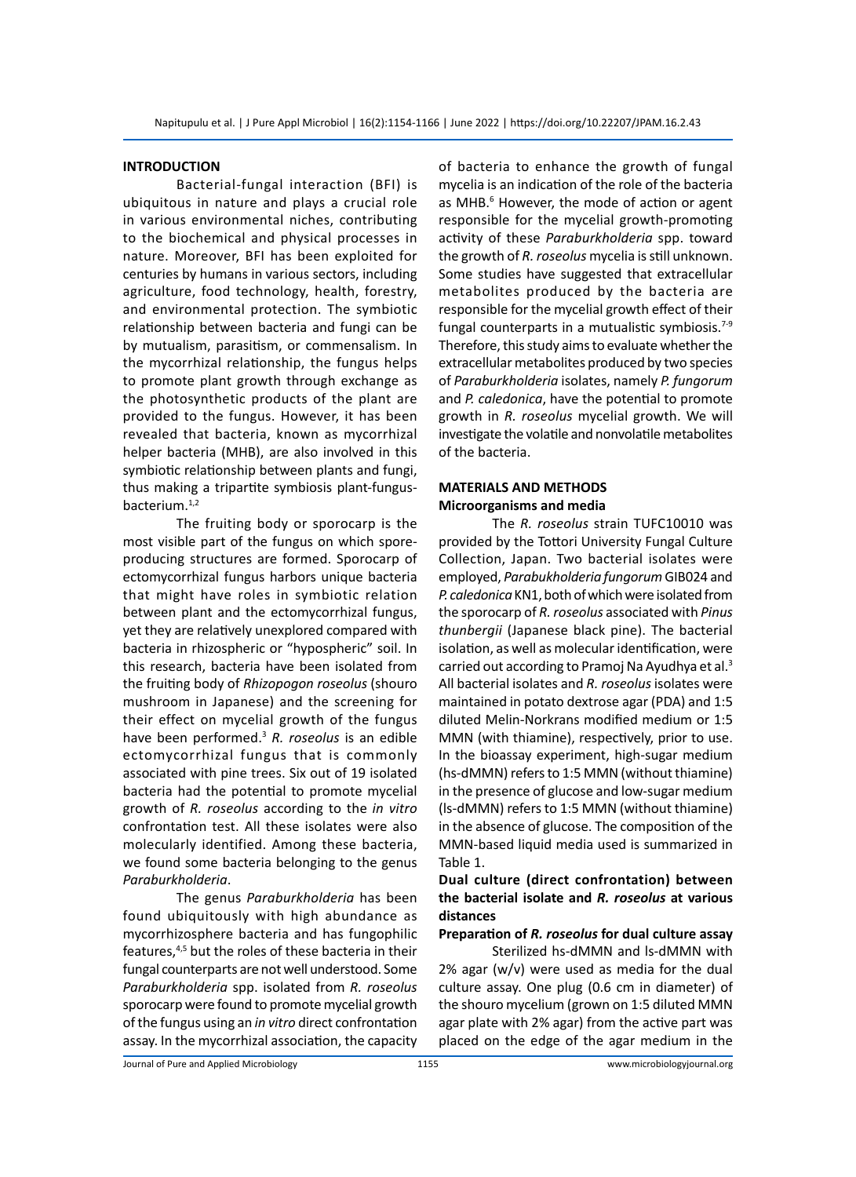#### **INTRODUCTION**

Bacterial-fungal interaction (BFI) is ubiquitous in nature and plays a crucial role in various environmental niches, contributing to the biochemical and physical processes in nature. Moreover, BFI has been exploited for centuries by humans in various sectors, including agriculture, food technology, health, forestry, and environmental protection. The symbiotic relationship between bacteria and fungi can be by mutualism, parasitism, or commensalism. In the mycorrhizal relationship, the fungus helps to promote plant growth through exchange as the photosynthetic products of the plant are provided to the fungus. However, it has been revealed that bacteria, known as mycorrhizal helper bacteria (MHB), are also involved in this symbiotic relationship between plants and fungi, thus making a tripartite symbiosis plant-fungusbacterium. $1,2$ 

The fruiting body or sporocarp is the most visible part of the fungus on which sporeproducing structures are formed. Sporocarp of ectomycorrhizal fungus harbors unique bacteria that might have roles in symbiotic relation between plant and the ectomycorrhizal fungus, yet they are relatively unexplored compared with bacteria in rhizospheric or "hypospheric" soil. In this research, bacteria have been isolated from the fruiting body of *Rhizopogon roseolus* (shouro mushroom in Japanese) and the screening for their effect on mycelial growth of the fungus have been performed.3 *R. roseolus* is an edible ectomycorrhizal fungus that is commonly associated with pine trees. Six out of 19 isolated bacteria had the potential to promote mycelial growth of *R. roseolus* according to the *in vitro* confrontation test. All these isolates were also molecularly identified. Among these bacteria, we found some bacteria belonging to the genus *Paraburkholderia*.

The genus *Paraburkholderia* has been found ubiquitously with high abundance as mycorrhizosphere bacteria and has fungophilic features,<sup>4,5</sup> but the roles of these bacteria in their fungal counterparts are not well understood. Some *Paraburkholderia* spp. isolated from *R. roseolus* sporocarp were found to promote mycelial growth of the fungus using an *in vitro* direct confrontation assay. In the mycorrhizal association, the capacity of bacteria to enhance the growth of fungal mycelia is an indication of the role of the bacteria as MHB.<sup>6</sup> However, the mode of action or agent responsible for the mycelial growth-promoting activity of these *Paraburkholderia* spp. toward the growth of *R. roseolus* mycelia is still unknown. Some studies have suggested that extracellular metabolites produced by the bacteria are responsible for the mycelial growth effect of their fungal counterparts in a mutualistic symbiosis. $7-9$ Therefore, this study aims to evaluate whether the extracellular metabolites produced by two species of *Paraburkholderia* isolates, namely *P. fungorum* and *P. caledonica*, have the potential to promote growth in *R. roseolus* mycelial growth. We will investigate the volatile and nonvolatile metabolites of the bacteria.

### **MATERIALS AND METHODS Microorganisms and media**

The *R. roseolus* strain TUFC10010 was provided by the Tottori University Fungal Culture Collection, Japan. Two bacterial isolates were employed, *Parabukholderia fungorum* GIB024 and *P. caledonica* KN1, both of which were isolated from the sporocarp of *R. roseolus* associated with *Pinus thunbergii* (Japanese black pine). The bacterial isolation, as well as molecular identification, were carried out according to Pramoj Na Ayudhya et al.3 All bacterial isolates and *R. roseolus* isolates were maintained in potato dextrose agar (PDA) and 1:5 diluted Melin-Norkrans modified medium or 1:5 MMN (with thiamine), respectively, prior to use. In the bioassay experiment, high-sugar medium (hs-dMMN) refers to 1:5 MMN (without thiamine) in the presence of glucose and low-sugar medium (ls-dMMN) refers to 1:5 MMN (without thiamine) in the absence of glucose. The composition of the MMN-based liquid media used is summarized in Table 1.

**Dual culture (direct confrontation) between the bacterial isolate and** *R. roseolus* **at various distances**

#### **Preparation of** *R. roseolus* **for dual culture assay**

Sterilized hs-dMMN and ls-dMMN with 2% agar (w/v) were used as media for the dual culture assay. One plug (0.6 cm in diameter) of the shouro mycelium (grown on 1:5 diluted MMN agar plate with 2% agar) from the active part was placed on the edge of the agar medium in the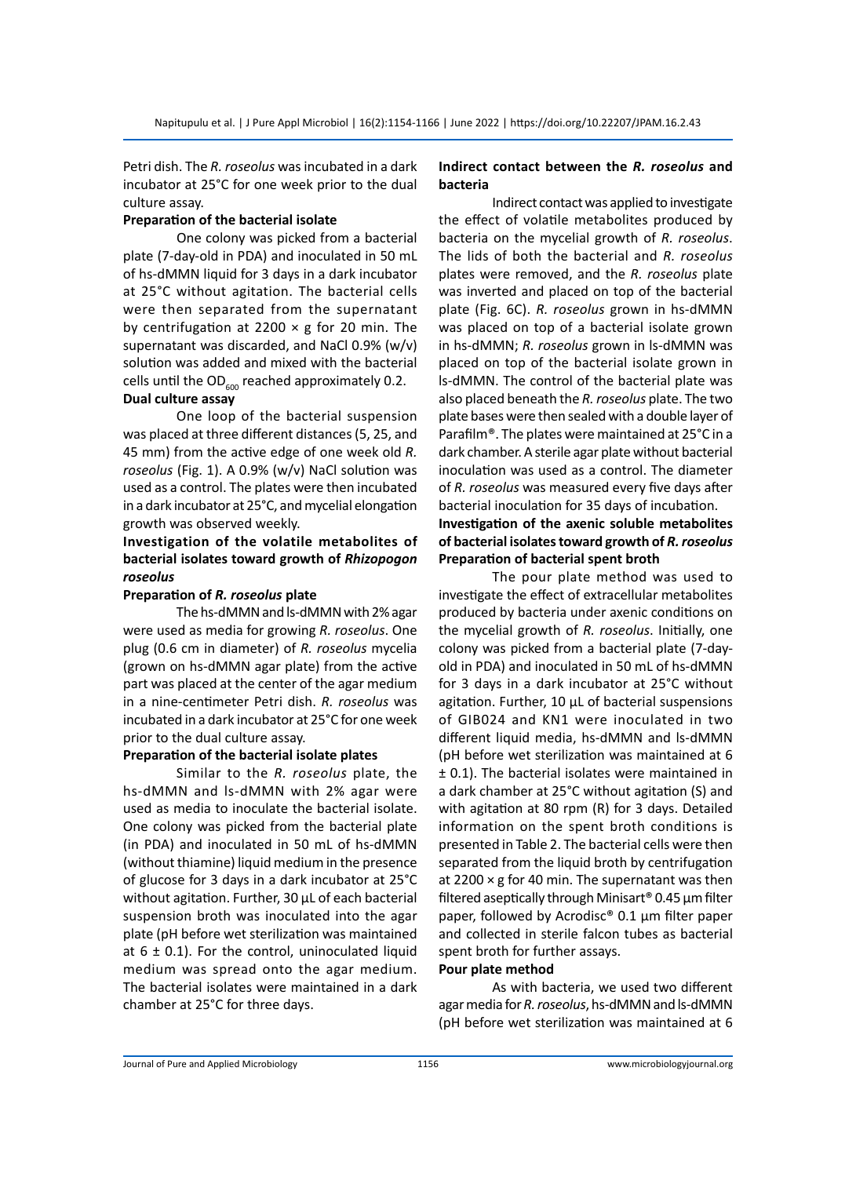Petri dish. The *R. roseolus* was incubated in a dark incubator at 25°C for one week prior to the dual culture assay.

#### **Preparation of the bacterial isolate**

One colony was picked from a bacterial plate (7-day-old in PDA) and inoculated in 50 mL of hs-dMMN liquid for 3 days in a dark incubator at 25°C without agitation. The bacterial cells were then separated from the supernatant by centrifugation at 2200  $\times$  g for 20 min. The supernatant was discarded, and NaCl 0.9% (w/v) solution was added and mixed with the bacterial cells until the  $OD_{600}$  reached approximately 0.2.

#### **Dual culture assay**

One loop of the bacterial suspension was placed at three different distances (5, 25, and 45 mm) from the active edge of one week old *R. roseolus* (Fig. 1). A 0.9% (w/v) NaCl solution was used as a control. The plates were then incubated in a dark incubator at 25°C, and mycelial elongation growth was observed weekly.

# **Investigation of the volatile metabolites of bacterial isolates toward growth of** *Rhizopogon roseolus*

#### **Preparation of** *R. roseolus* **plate**

The hs-dMMN and ls-dMMN with 2% agar were used as media for growing *R. roseolus*. One plug (0.6 cm in diameter) of *R. roseolus* mycelia (grown on hs-dMMN agar plate) from the active part was placed at the center of the agar medium in a nine-centimeter Petri dish. *R. roseolus* was incubated in a dark incubator at 25°C for one week prior to the dual culture assay.

#### **Preparation of the bacterial isolate plates**

Similar to the *R. roseolus* plate, the hs-dMMN and ls-dMMN with 2% agar were used as media to inoculate the bacterial isolate. One colony was picked from the bacterial plate (in PDA) and inoculated in 50 mL of hs-dMMN (without thiamine) liquid medium in the presence of glucose for 3 days in a dark incubator at 25°C without agitation. Further, 30 µL of each bacterial suspension broth was inoculated into the agar plate (pH before wet sterilization was maintained at  $6 \pm 0.1$ ). For the control, uninoculated liquid medium was spread onto the agar medium. The bacterial isolates were maintained in a dark chamber at 25°C for three days.

#### **Indirect contact between the** *R. roseolus* **and bacteria**

Indirect contact was applied to investigate the effect of volatile metabolites produced by bacteria on the mycelial growth of *R. roseolus*. The lids of both the bacterial and *R. roseolus* plates were removed, and the *R. roseolus* plate was inverted and placed on top of the bacterial plate (Fig. 6C). *R. roseolus* grown in hs-dMMN was placed on top of a bacterial isolate grown in hs-dMMN; *R. roseolus* grown in ls-dMMN was placed on top of the bacterial isolate grown in ls-dMMN. The control of the bacterial plate was also placed beneath the *R. roseolus* plate. The two plate bases were then sealed with a double layer of Parafilm®. The plates were maintained at 25°C in a dark chamber. A sterile agar plate without bacterial inoculation was used as a control. The diameter of *R. roseolus* was measured every five days after bacterial inoculation for 35 days of incubation.

### **Investigation of the axenic soluble metabolites of bacterial isolates toward growth of** *R. roseolus* **Preparation of bacterial spent broth**

The pour plate method was used to investigate the effect of extracellular metabolites produced by bacteria under axenic conditions on the mycelial growth of *R. roseolus*. Initially, one colony was picked from a bacterial plate (7-dayold in PDA) and inoculated in 50 mL of hs-dMMN for 3 days in a dark incubator at 25°C without agitation. Further, 10 µL of bacterial suspensions of GIB024 and KN1 were inoculated in two different liquid media, hs-dMMN and ls-dMMN (pH before wet sterilization was maintained at 6 ± 0.1). The bacterial isolates were maintained in a dark chamber at 25°C without agitation (S) and with agitation at 80 rpm (R) for 3 days. Detailed information on the spent broth conditions is presented in Table 2. The bacterial cells were then separated from the liquid broth by centrifugation at 2200  $\times$  g for 40 min. The supernatant was then filtered aseptically through Minisart® 0.45 µm filter paper, followed by Acrodisc® 0.1 µm filter paper and collected in sterile falcon tubes as bacterial spent broth for further assays.

#### **Pour plate method**

As with bacteria, we used two different agar media for *R. roseolus*, hs-dMMN and ls-dMMN (pH before wet sterilization was maintained at 6

Journal of Pure and Applied Microbiology 1156 www.microbiologyjournal.org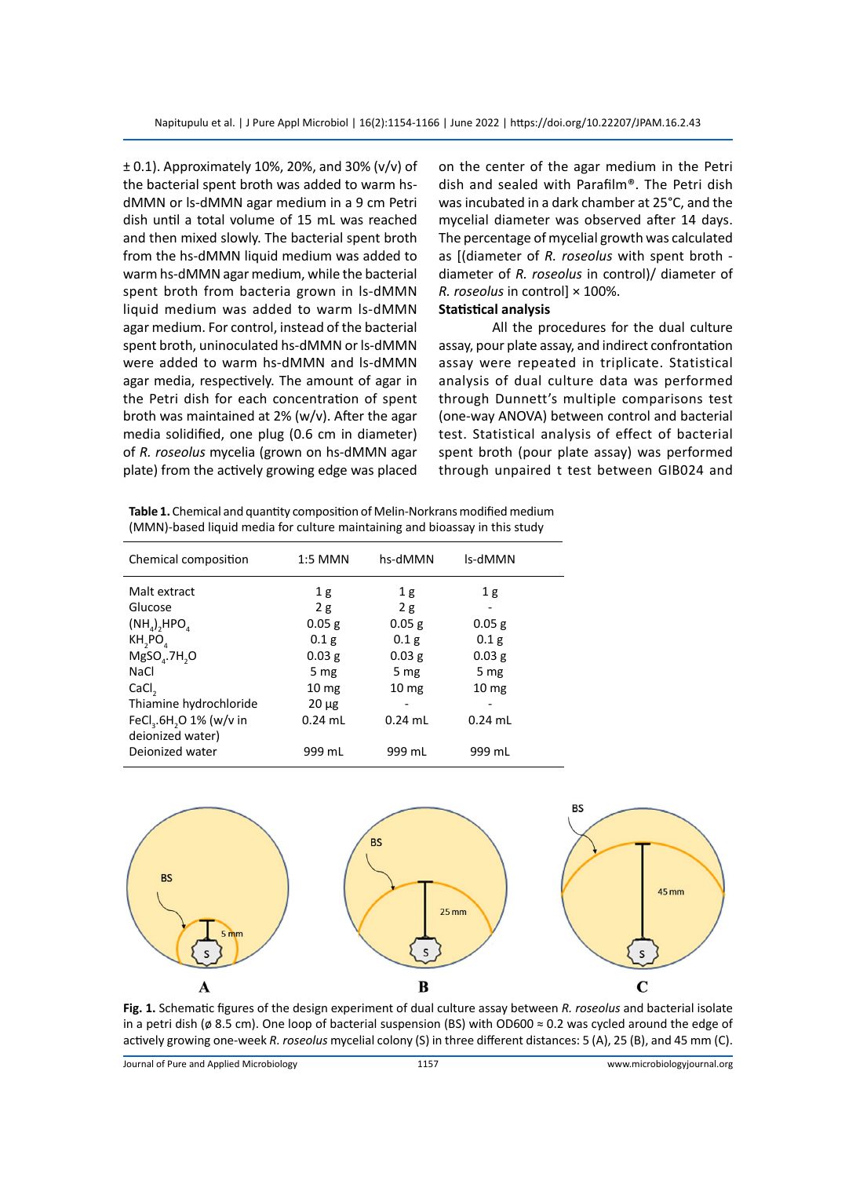± 0.1). Approximately 10%, 20%, and 30% (v/v) of the bacterial spent broth was added to warm hsdMMN or ls-dMMN agar medium in a 9 cm Petri dish until a total volume of 15 mL was reached and then mixed slowly. The bacterial spent broth from the hs-dMMN liquid medium was added to warm hs-dMMN agar medium, while the bacterial spent broth from bacteria grown in ls-dMMN liquid medium was added to warm ls-dMMN agar medium. For control, instead of the bacterial spent broth, uninoculated hs-dMMN or ls-dMMN were added to warm hs-dMMN and ls-dMMN agar media, respectively. The amount of agar in the Petri dish for each concentration of spent broth was maintained at 2% (w/v). After the agar media solidified, one plug (0.6 cm in diameter) of *R. roseolus* mycelia (grown on hs-dMMN agar plate) from the actively growing edge was placed

on the center of the agar medium in the Petri dish and sealed with Parafilm®. The Petri dish was incubated in a dark chamber at 25°C, and the mycelial diameter was observed after 14 days. The percentage of mycelial growth was calculated as [(diameter of *R. roseolus* with spent broth diameter of *R. roseolus* in control)/ diameter of *R. roseolus* in control] × 100%.

# **Statistical analysis**

All the procedures for the dual culture assay, pour plate assay, and indirect confrontation assay were repeated in triplicate. Statistical analysis of dual culture data was performed through Dunnett's multiple comparisons test (one-way ANOVA) between control and bacterial test. Statistical analysis of effect of bacterial spent broth (pour plate assay) was performed through unpaired t test between GIB024 and

| Table 1. Chemical and quantity composition of Melin-Norkrans modified medium |
|------------------------------------------------------------------------------|
| (MMN)-based liquid media for culture maintaining and bioassay in this study  |

| Chemical composition                                                | 1:5 MMN          | hs-dMMN          | ls-dMMN          |
|---------------------------------------------------------------------|------------------|------------------|------------------|
| Malt extract                                                        | 1 <sub>g</sub>   | 1g               | 1 <sub>g</sub>   |
| Glucose                                                             | 2g               | 2g               |                  |
| $(NH_a)$ <sub>2</sub> HPO <sub>4</sub>                              | $0.05$ g         | $0.05$ g         | 0.05 g           |
| KH,PO                                                               | 0.1 <sub>g</sub> | 0.1 <sub>g</sub> | 0.1 <sub>g</sub> |
| $MgSOa$ .7H <sub>2</sub> O                                          | $0.03$ g         | $0.03$ g         | 0.03 g           |
| NaCl                                                                | 5 mg             | 5 mg             | 5 mg             |
| CaCl <sub>2</sub>                                                   | 10 <sub>mg</sub> | 10 <sub>mg</sub> | 10 <sub>mg</sub> |
| Thiamine hydrochloride                                              | $20 \mu g$       |                  |                  |
| FeCl <sub>3</sub> .6H <sub>2</sub> O 1% (w/v in<br>deionized water) | $0.24$ mL        | $0.24$ mL        | $0.24$ mL        |
| Dejonized water                                                     | 999 mL           | 999 mL           | 999 mL           |



**Fig. 1.** Schematic figures of the design experiment of dual culture assay between *R. roseolus* and bacterial isolate in a petri dish (ø 8.5 cm). One loop of bacterial suspension (BS) with OD600 ≈ 0.2 was cycled around the edge of actively growing one-week *R. roseolus* mycelial colony (S) in three different distances: 5 (A), 25 (B), and 45 mm (C).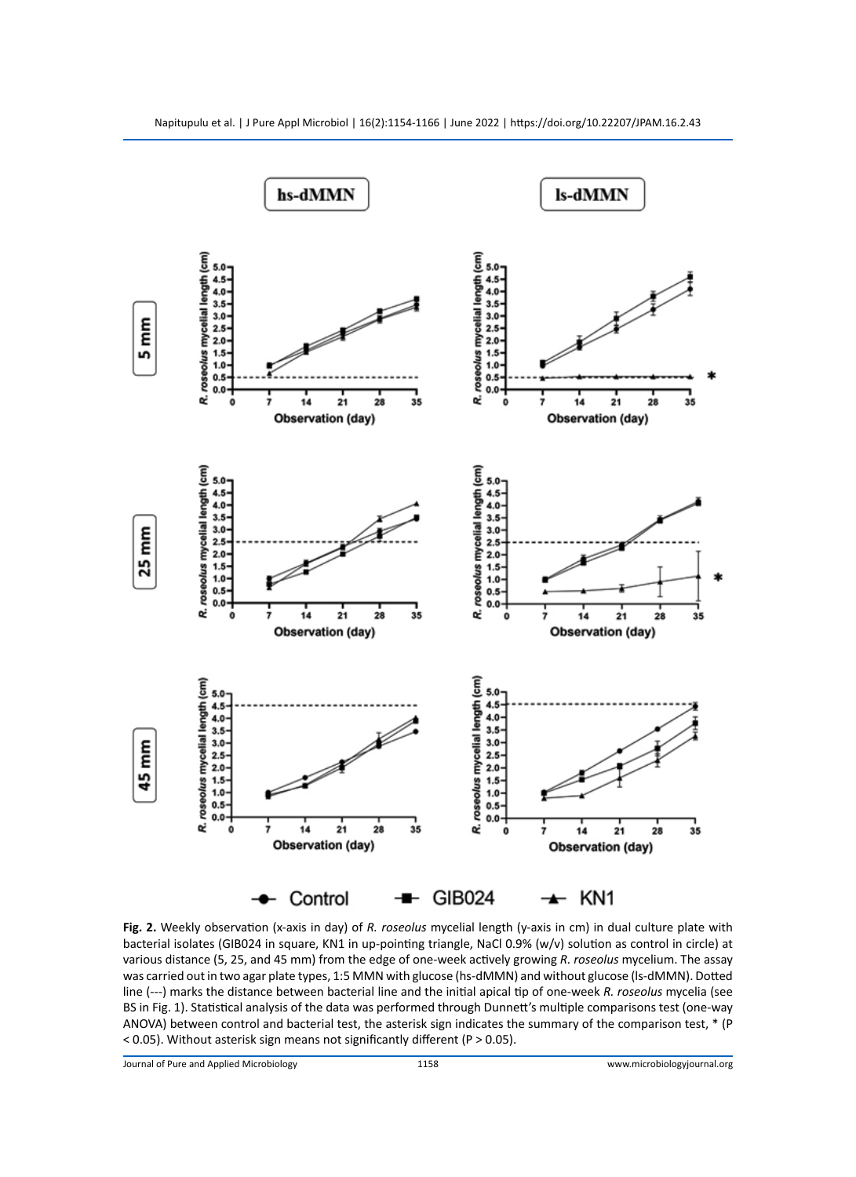

**Fig. 2.** Weekly observation (x-axis in day) of *R. roseolus* mycelial length (y-axis in cm) in dual culture plate with bacterial isolates (GIB024 in square, KN1 in up-pointing triangle, NaCl 0.9% (w/v) solution as control in circle) at various distance (5, 25, and 45 mm) from the edge of one-week actively growing *R. roseolus* mycelium. The assay was carried out in two agar plate types, 1:5 MMN with glucose (hs-dMMN) and without glucose (ls-dMMN). Dotted line (---) marks the distance between bacterial line and the initial apical tip of one-week *R. roseolus* mycelia (see BS in Fig. 1). Statistical analysis of the data was performed through Dunnett's multiple comparisons test (one-way ANOVA) between control and bacterial test, the asterisk sign indicates the summary of the comparison test, \* (P < 0.05). Without asterisk sign means not significantly different (P > 0.05).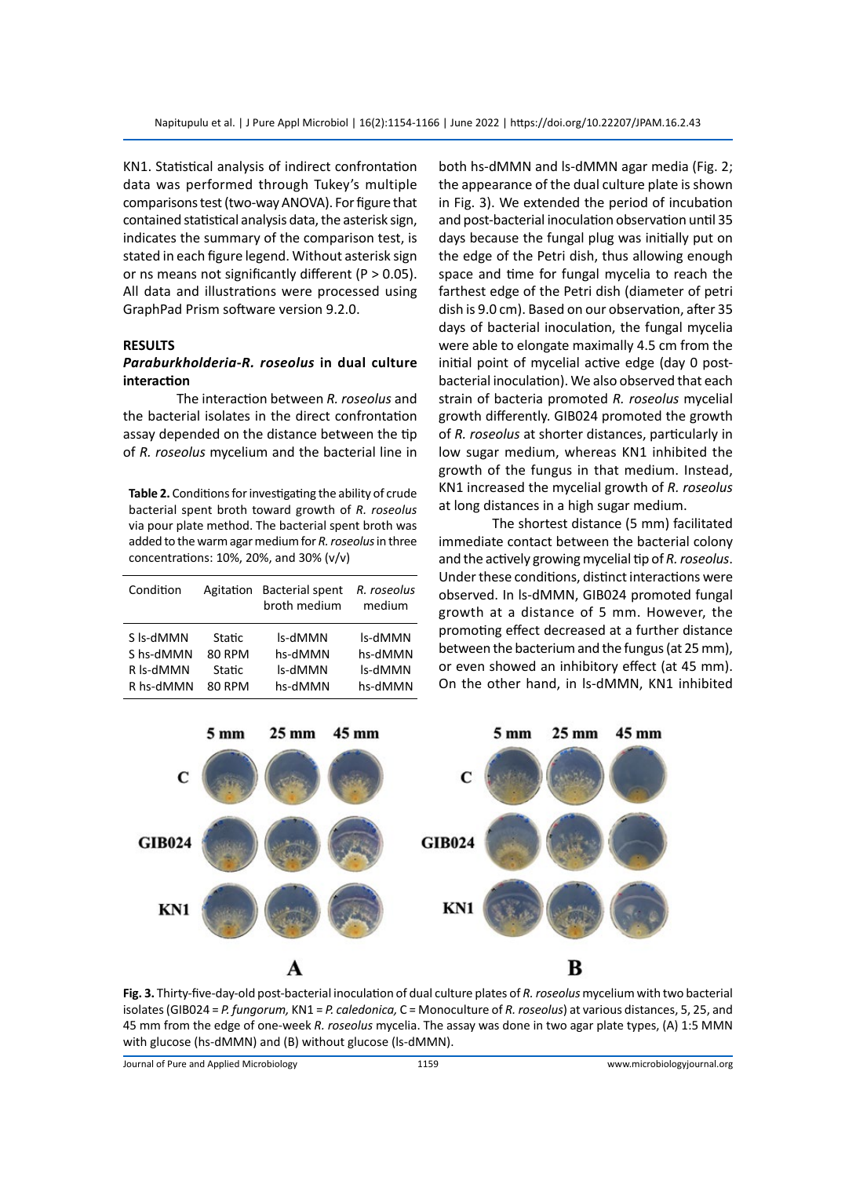KN1. Statistical analysis of indirect confrontation data was performed through Tukey's multiple comparisons test (two-way ANOVA). For figure that contained statistical analysis data, the asterisk sign, indicates the summary of the comparison test, is stated in each figure legend. Without asterisk sign or ns means not significantly different ( $P > 0.05$ ). All data and illustrations were processed using GraphPad Prism software version 9.2.0.

#### **RESULTS**

#### *Paraburkholderia***-***R. roseolus* **in dual culture interaction**

The interaction between *R. roseolus* and the bacterial isolates in the direct confrontation assay depended on the distance between the tip of *R. roseolus* mycelium and the bacterial line in

**Table 2.** Conditions for investigating the ability of crude bacterial spent broth toward growth of *R. roseolus* via pour plate method. The bacterial spent broth was added to the warm agar medium for *R. roseolus* in three concentrations: 10%, 20%, and 30% (v/v)

| Condition | Agitation     | <b>Bacterial spent</b><br>broth medium | R. roseolus<br>medium |
|-----------|---------------|----------------------------------------|-----------------------|
| S Is-dMMN | Static        | ls-dMMN                                | ls-dMMN               |
| S hs-dMMN | <b>80 RPM</b> | hs-dMMN                                | hs-dMMN               |
| R Is-dMMN | Static        | ls-dMMN                                | ls-dMMN               |
| R hs-dMMN | 80 RPM        | hs-dMMN                                | hs-dMMN               |

both hs-dMMN and ls-dMMN agar media (Fig. 2; the appearance of the dual culture plate is shown in Fig. 3). We extended the period of incubation and post-bacterial inoculation observation until 35 days because the fungal plug was initially put on the edge of the Petri dish, thus allowing enough space and time for fungal mycelia to reach the farthest edge of the Petri dish (diameter of petri dish is 9.0 cm). Based on our observation, after 35 days of bacterial inoculation, the fungal mycelia were able to elongate maximally 4.5 cm from the initial point of mycelial active edge (day 0 postbacterial inoculation). We also observed that each strain of bacteria promoted *R. roseolus* mycelial growth differently. GIB024 promoted the growth of *R. roseolus* at shorter distances, particularly in low sugar medium, whereas KN1 inhibited the growth of the fungus in that medium. Instead, KN1 increased the mycelial growth of *R. roseolus* at long distances in a high sugar medium.

The shortest distance (5 mm) facilitated immediate contact between the bacterial colony and the actively growing mycelial tip of *R. roseolus*. Under these conditions, distinct interactions were observed. In ls-dMMN, GIB024 promoted fungal growth at a distance of 5 mm. However, the promoting effect decreased at a further distance between the bacterium and the fungus (at 25 mm), or even showed an inhibitory effect (at 45 mm). On the other hand, in ls-dMMN, KN1 inhibited



**Fig. 3.** Thirty-five-day-old post-bacterial inoculation of dual culture plates of *R. roseolus* mycelium with two bacterial isolates (GIB024 = *P. fungorum,* KN1 = *P. caledonica,* C = Monoculture of *R. roseolus*) at various distances, 5, 25, and 45 mm from the edge of one-week *R. roseolus* mycelia. The assay was done in two agar plate types, (A) 1:5 MMN with glucose (hs-dMMN) and (B) without glucose (ls-dMMN).

Journal of Pure and Applied Microbiology 1159 www.microbiologyjournal.org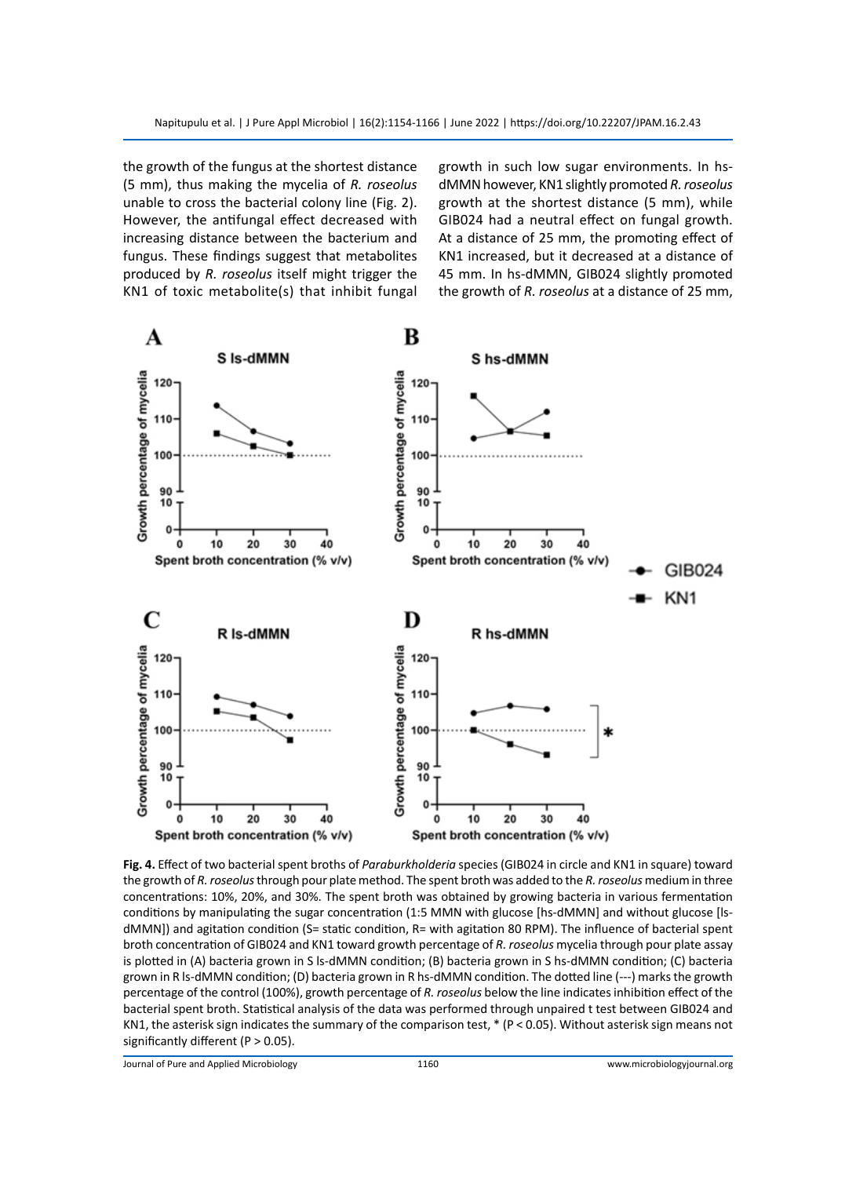the growth of the fungus at the shortest distance (5 mm), thus making the mycelia of *R. roseolus* unable to cross the bacterial colony line (Fig. 2). However, the antifungal effect decreased with increasing distance between the bacterium and fungus. These findings suggest that metabolites produced by *R. roseolus* itself might trigger the KN1 of toxic metabolite(s) that inhibit fungal growth in such low sugar environments. In hsdMMN however, KN1 slightly promoted *R. roseolus* growth at the shortest distance (5 mm), while GIB024 had a neutral effect on fungal growth. At a distance of 25 mm, the promoting effect of KN1 increased, but it decreased at a distance of 45 mm. In hs-dMMN, GIB024 slightly promoted the growth of *R. roseolus* at a distance of 25 mm,



**Fig. 4.** Effect of two bacterial spent broths of *Paraburkholderia* species (GIB024 in circle and KN1 in square) toward the growth of *R. roseolus* through pour plate method. The spent broth was added to the *R. roseolus* medium in three concentrations: 10%, 20%, and 30%. The spent broth was obtained by growing bacteria in various fermentation conditions by manipulating the sugar concentration (1:5 MMN with glucose [hs-dMMN] and without glucose [lsdMMN]) and agitation condition (S= static condition, R= with agitation 80 RPM). The influence of bacterial spent broth concentration of GIB024 and KN1 toward growth percentage of *R. roseolus* mycelia through pour plate assay is plotted in (A) bacteria grown in S ls-dMMN condition; (B) bacteria grown in S hs-dMMN condition; (C) bacteria grown in R ls-dMMN condition; (D) bacteria grown in R hs-dMMN condition. The dotted line (---) marks the growth percentage of the control (100%), growth percentage of *R. roseolus* below the line indicates inhibition effect of the bacterial spent broth. Statistical analysis of the data was performed through unpaired t test between GIB024 and KN1, the asterisk sign indicates the summary of the comparison test, \* (P < 0.05). Without asterisk sign means not significantly different ( $P > 0.05$ ).

Journal of Pure and Applied Microbiology 1160 www.microbiologyjournal.org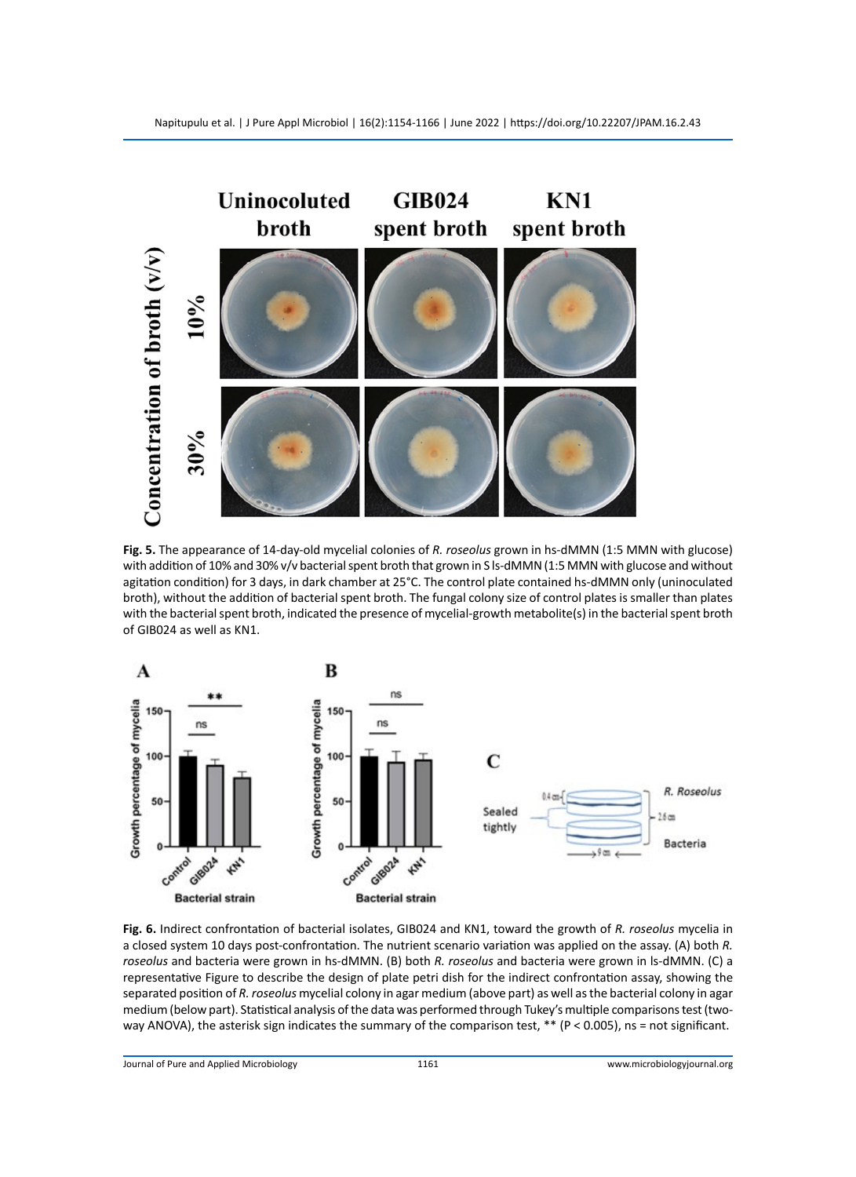

**Fig. 5.** The appearance of 14-day-old mycelial colonies of *R. roseolus* grown in hs-dMMN (1:5 MMN with glucose) with addition of 10% and 30% v/v bacterial spent broth that grown in S ls-dMMN (1:5 MMN with glucose and without agitation condition) for 3 days, in dark chamber at 25°C. The control plate contained hs-dMMN only (uninoculated broth), without the addition of bacterial spent broth. The fungal colony size of control plates is smaller than plates with the bacterial spent broth, indicated the presence of mycelial-growth metabolite(s) in the bacterial spent broth of GIB024 as well as KN1.



**Fig. 6.** Indirect confrontation of bacterial isolates, GIB024 and KN1, toward the growth of *R. roseolus* mycelia in a closed system 10 days post-confrontation. The nutrient scenario variation was applied on the assay. (A) both *R. roseolus* and bacteria were grown in hs-dMMN. (B) both *R. roseolus* and bacteria were grown in ls-dMMN. (C) a representative Figure to describe the design of plate petri dish for the indirect confrontation assay, showing the separated position of *R. roseolus* mycelial colony in agar medium (above part) as well as the bacterial colony in agar medium (below part). Statistical analysis of the data was performed through Tukey's multiple comparisons test (twoway ANOVA), the asterisk sign indicates the summary of the comparison test,  $**$  (P < 0.005), ns = not significant.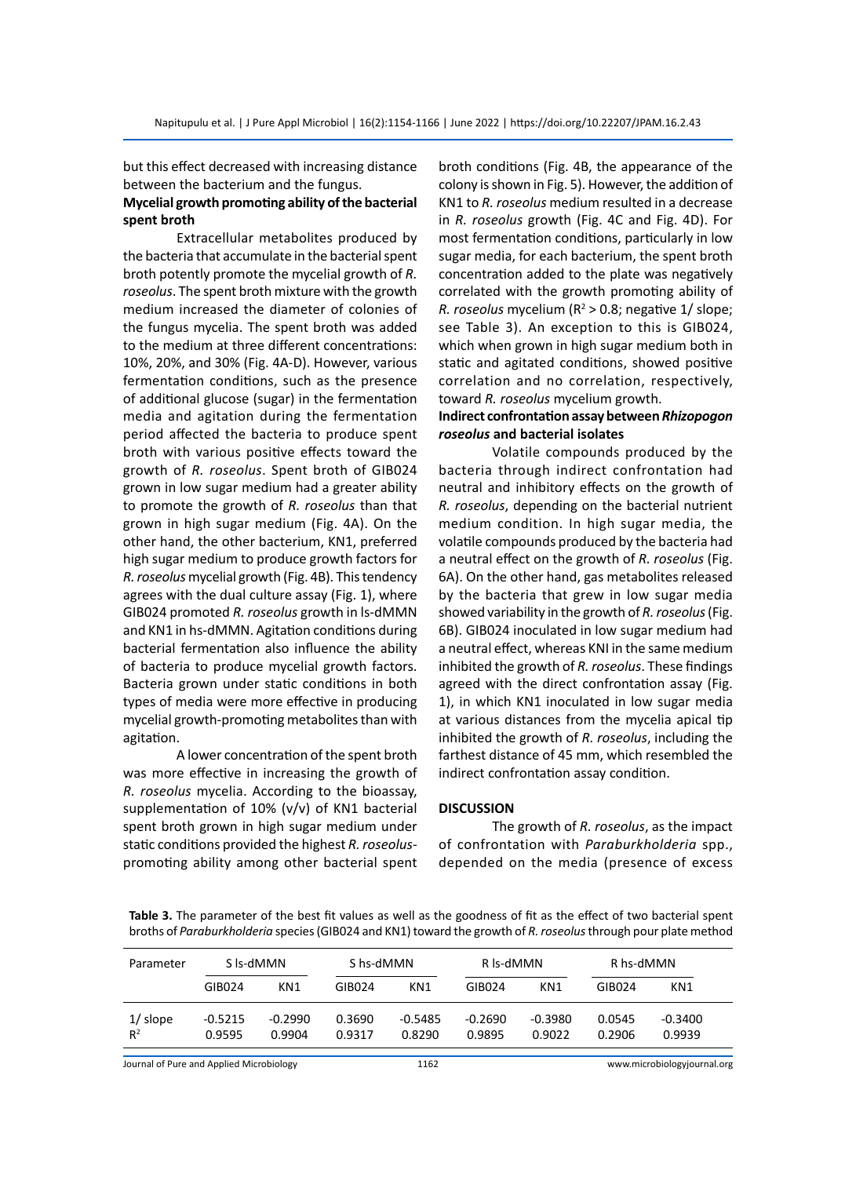but this effect decreased with increasing distance between the bacterium and the fungus.

#### **Mycelial growth promoting ability of the bacterial spent broth**

Extracellular metabolites produced by the bacteria that accumulate in the bacterial spent broth potently promote the mycelial growth of *R. roseolus*. The spent broth mixture with the growth medium increased the diameter of colonies of the fungus mycelia. The spent broth was added to the medium at three different concentrations: 10%, 20%, and 30% (Fig. 4A-D). However, various fermentation conditions, such as the presence of additional glucose (sugar) in the fermentation media and agitation during the fermentation period affected the bacteria to produce spent broth with various positive effects toward the growth of *R. roseolus*. Spent broth of GIB024 grown in low sugar medium had a greater ability to promote the growth of *R. roseolus* than that grown in high sugar medium (Fig. 4A). On the other hand, the other bacterium, KN1, preferred high sugar medium to produce growth factors for *R. roseolus* mycelial growth (Fig. 4B). This tendency agrees with the dual culture assay (Fig. 1), where GIB024 promoted *R. roseolus* growth in ls-dMMN and KN1 in hs-dMMN. Agitation conditions during bacterial fermentation also influence the ability of bacteria to produce mycelial growth factors. Bacteria grown under static conditions in both types of media were more effective in producing mycelial growth-promoting metabolites than with agitation.

A lower concentration of the spent broth was more effective in increasing the growth of *R. roseolus* mycelia. According to the bioassay, supplementation of 10% (v/v) of KN1 bacterial spent broth grown in high sugar medium under static conditions provided the highest *R. roseolus*promoting ability among other bacterial spent broth conditions (Fig. 4B, the appearance of the colony is shown in Fig. 5). However, the addition of KN1 to *R. roseolus* medium resulted in a decrease in *R. roseolus* growth (Fig. 4C and Fig. 4D). For most fermentation conditions, particularly in low sugar media, for each bacterium, the spent broth concentration added to the plate was negatively correlated with the growth promoting ability of R. roseolus mycelium (R<sup>2</sup> > 0.8; negative 1/ slope; see Table 3). An exception to this is GIB024, which when grown in high sugar medium both in static and agitated conditions, showed positive correlation and no correlation, respectively, toward *R. roseolus* mycelium growth.

## **Indirect confrontation assay between** *Rhizopogon roseolus* **and bacterial isolates**

Volatile compounds produced by the bacteria through indirect confrontation had neutral and inhibitory effects on the growth of *R. roseolus*, depending on the bacterial nutrient medium condition. In high sugar media, the volatile compounds produced by the bacteria had a neutral effect on the growth of *R. roseolus* (Fig. 6A). On the other hand, gas metabolites released by the bacteria that grew in low sugar media showed variability in the growth of *R. roseolus* (Fig. 6B). GIB024 inoculated in low sugar medium had a neutral effect, whereas KNI in the same medium inhibited the growth of *R. roseolus*. These findings agreed with the direct confrontation assay (Fig. 1), in which KN1 inoculated in low sugar media at various distances from the mycelia apical tip inhibited the growth of *R. roseolus*, including the farthest distance of 45 mm, which resembled the indirect confrontation assay condition.

#### **DISCUSSION**

The growth of *R. roseolus*, as the impact of confrontation with *Paraburkholderia* spp., depended on the media (presence of excess

**Table 3.** The parameter of the best fit values as well as the goodness of fit as the effect of two bacterial spent broths of *Paraburkholderia* species (GIB024 and KN1) toward the growth of *R. roseolus* through pour plate method

| S Is-dMMN<br>Parameter                   |           | S hs-dMMN |        |           | R ls-dMMN |                 | R hs-dMMN |                             |
|------------------------------------------|-----------|-----------|--------|-----------|-----------|-----------------|-----------|-----------------------------|
|                                          | GIB024    | KN1       | GIB024 | KN1       | GIB024    | KN <sub>1</sub> | GIB024    | KN1                         |
| $1/$ slope                               | $-0.5215$ | $-0.2990$ | 0.3690 | $-0.5485$ | $-0.2690$ | $-0.3980$       | 0.0545    | $-0.3400$                   |
| $R^2$                                    | 0.9595    | 0.9904    | 0.9317 | 0.8290    | 0.9895    | 0.9022          | 0.2906    | 0.9939                      |
| Journal of Pure and Applied Microbiology |           |           |        | 1162      |           |                 |           | www.microbiologyjournal.org |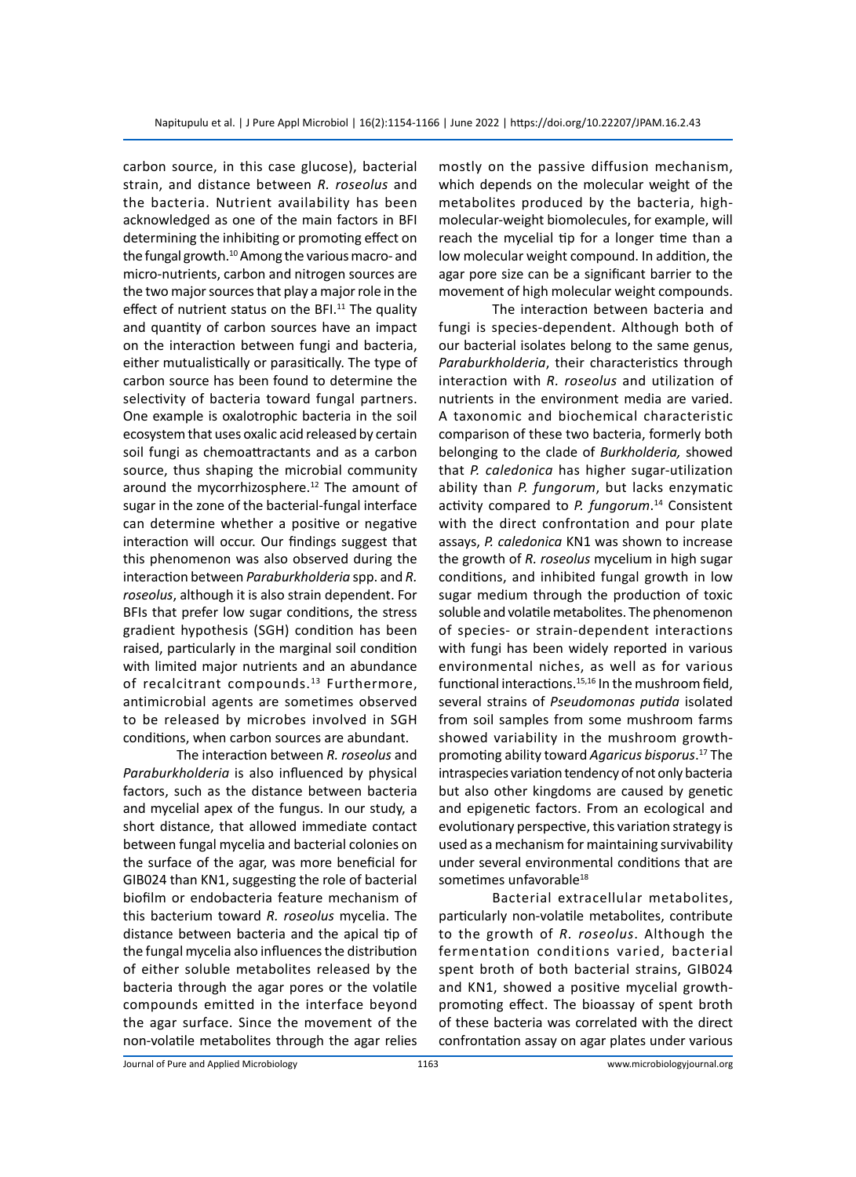carbon source, in this case glucose), bacterial strain, and distance between *R. roseolus* and the bacteria. Nutrient availability has been acknowledged as one of the main factors in BFI determining the inhibiting or promoting effect on the fungal growth.<sup>10</sup> Among the various macro- and micro-nutrients, carbon and nitrogen sources are the two major sources that play a major role in the effect of nutrient status on the BFI. $11$  The quality and quantity of carbon sources have an impact on the interaction between fungi and bacteria, either mutualistically or parasitically. The type of carbon source has been found to determine the selectivity of bacteria toward fungal partners. One example is oxalotrophic bacteria in the soil ecosystem that uses oxalic acid released by certain soil fungi as chemoattractants and as a carbon source, thus shaping the microbial community around the mycorrhizosphere.<sup>12</sup> The amount of sugar in the zone of the bacterial-fungal interface can determine whether a positive or negative interaction will occur. Our findings suggest that this phenomenon was also observed during the interaction between *Paraburkholderia* spp. and *R. roseolus*, although it is also strain dependent. For BFIs that prefer low sugar conditions, the stress gradient hypothesis (SGH) condition has been raised, particularly in the marginal soil condition with limited major nutrients and an abundance of recalcitrant compounds.<sup>13</sup> Furthermore, antimicrobial agents are sometimes observed to be released by microbes involved in SGH conditions, when carbon sources are abundant.

The interaction between *R. roseolus* and *Paraburkholderia* is also influenced by physical factors, such as the distance between bacteria and mycelial apex of the fungus. In our study, a short distance, that allowed immediate contact between fungal mycelia and bacterial colonies on the surface of the agar, was more beneficial for GIB024 than KN1, suggesting the role of bacterial biofilm or endobacteria feature mechanism of this bacterium toward *R. roseolus* mycelia. The distance between bacteria and the apical tip of the fungal mycelia also influences the distribution of either soluble metabolites released by the bacteria through the agar pores or the volatile compounds emitted in the interface beyond the agar surface. Since the movement of the non-volatile metabolites through the agar relies mostly on the passive diffusion mechanism, which depends on the molecular weight of the metabolites produced by the bacteria, highmolecular-weight biomolecules, for example, will reach the mycelial tip for a longer time than a low molecular weight compound. In addition, the agar pore size can be a significant barrier to the movement of high molecular weight compounds.

The interaction between bacteria and fungi is species-dependent. Although both of our bacterial isolates belong to the same genus, *Paraburkholderia*, their characteristics through interaction with *R. roseolus* and utilization of nutrients in the environment media are varied. A taxonomic and biochemical characteristic comparison of these two bacteria, formerly both belonging to the clade of *Burkholderia,* showed that *P. caledonica* has higher sugar-utilization ability than *P. fungorum*, but lacks enzymatic activity compared to *P. fungorum*. 14 Consistent with the direct confrontation and pour plate assays, *P. caledonica* KN1 was shown to increase the growth of *R. roseolus* mycelium in high sugar conditions, and inhibited fungal growth in low sugar medium through the production of toxic soluble and volatile metabolites. The phenomenon of species- or strain-dependent interactions with fungi has been widely reported in various environmental niches, as well as for various functional interactions.<sup>15,16</sup> In the mushroom field, several strains of *Pseudomonas putida* isolated from soil samples from some mushroom farms showed variability in the mushroom growthpromoting ability toward *Agaricus bisporus*. 17 The intraspecies variation tendency of not only bacteria but also other kingdoms are caused by genetic and epigenetic factors. From an ecological and evolutionary perspective, this variation strategy is used as a mechanism for maintaining survivability under several environmental conditions that are sometimes unfavorable<sup>18</sup>

Bacterial extracellular metabolites, particularly non-volatile metabolites, contribute to the growth of *R. roseolus*. Although the fermentation conditions varied, bacterial spent broth of both bacterial strains, GIB024 and KN1, showed a positive mycelial growthpromoting effect. The bioassay of spent broth of these bacteria was correlated with the direct confrontation assay on agar plates under various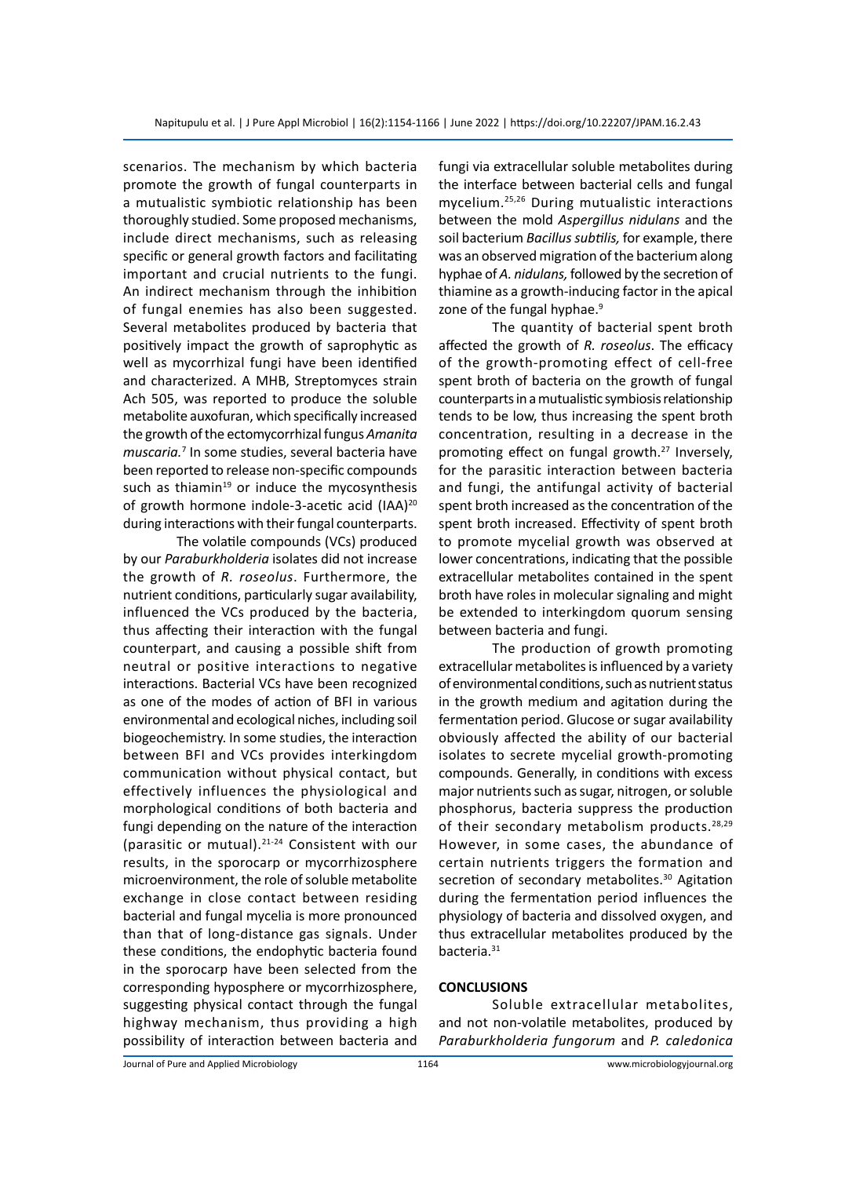scenarios. The mechanism by which bacteria promote the growth of fungal counterparts in a mutualistic symbiotic relationship has been thoroughly studied. Some proposed mechanisms, include direct mechanisms, such as releasing specific or general growth factors and facilitating important and crucial nutrients to the fungi. An indirect mechanism through the inhibition of fungal enemies has also been suggested. Several metabolites produced by bacteria that positively impact the growth of saprophytic as well as mycorrhizal fungi have been identified and characterized. A MHB, Streptomyces strain Ach 505, was reported to produce the soluble metabolite auxofuran, which specifically increased the growth of the ectomycorrhizal fungus *Amanita muscaria.*<sup>7</sup> In some studies, several bacteria have been reported to release non-specific compounds such as thiamin $19$  or induce the mycosynthesis of growth hormone indole-3-acetic acid (IAA)<sup>20</sup> during interactions with their fungal counterparts.

The volatile compounds (VCs) produced by our *Paraburkholderia* isolates did not increase the growth of *R. roseolus*. Furthermore, the nutrient conditions, particularly sugar availability, influenced the VCs produced by the bacteria, thus affecting their interaction with the fungal counterpart, and causing a possible shift from neutral or positive interactions to negative interactions. Bacterial VCs have been recognized as one of the modes of action of BFI in various environmental and ecological niches, including soil biogeochemistry. In some studies, the interaction between BFI and VCs provides interkingdom communication without physical contact, but effectively influences the physiological and morphological conditions of both bacteria and fungi depending on the nature of the interaction (parasitic or mutual).21-24 Consistent with our results, in the sporocarp or mycorrhizosphere microenvironment, the role of soluble metabolite exchange in close contact between residing bacterial and fungal mycelia is more pronounced than that of long-distance gas signals. Under these conditions, the endophytic bacteria found in the sporocarp have been selected from the corresponding hyposphere or mycorrhizosphere, suggesting physical contact through the fungal highway mechanism, thus providing a high possibility of interaction between bacteria and fungi via extracellular soluble metabolites during the interface between bacterial cells and fungal mycelium.25,26 During mutualistic interactions between the mold *Aspergillus nidulans* and the soil bacterium *Bacillus subtilis,* for example, there was an observed migration of the bacterium along hyphae of *A. nidulans,* followed by the secretion of thiamine as a growth-inducing factor in the apical zone of the fungal hyphae.<sup>9</sup>

The quantity of bacterial spent broth affected the growth of *R. roseolus*. The efficacy of the growth-promoting effect of cell-free spent broth of bacteria on the growth of fungal counterparts in a mutualistic symbiosis relationship tends to be low, thus increasing the spent broth concentration, resulting in a decrease in the promoting effect on fungal growth.<sup>27</sup> Inversely, for the parasitic interaction between bacteria and fungi, the antifungal activity of bacterial spent broth increased as the concentration of the spent broth increased. Effectivity of spent broth to promote mycelial growth was observed at lower concentrations, indicating that the possible extracellular metabolites contained in the spent broth have roles in molecular signaling and might be extended to interkingdom quorum sensing between bacteria and fungi.

The production of growth promoting extracellular metabolites is influenced by a variety of environmental conditions, such as nutrient status in the growth medium and agitation during the fermentation period. Glucose or sugar availability obviously affected the ability of our bacterial isolates to secrete mycelial growth-promoting compounds. Generally, in conditions with excess major nutrients such as sugar, nitrogen, or soluble phosphorus, bacteria suppress the production of their secondary metabolism products.<sup>28,29</sup> However, in some cases, the abundance of certain nutrients triggers the formation and secretion of secondary metabolites.<sup>30</sup> Agitation during the fermentation period influences the physiology of bacteria and dissolved oxygen, and thus extracellular metabolites produced by the bacteria.<sup>31</sup>

#### **CONCLUSIONS**

Soluble extracellular metabolites, and not non-volatile metabolites, produced by *Paraburkholderia fungorum* and *P. caledonica*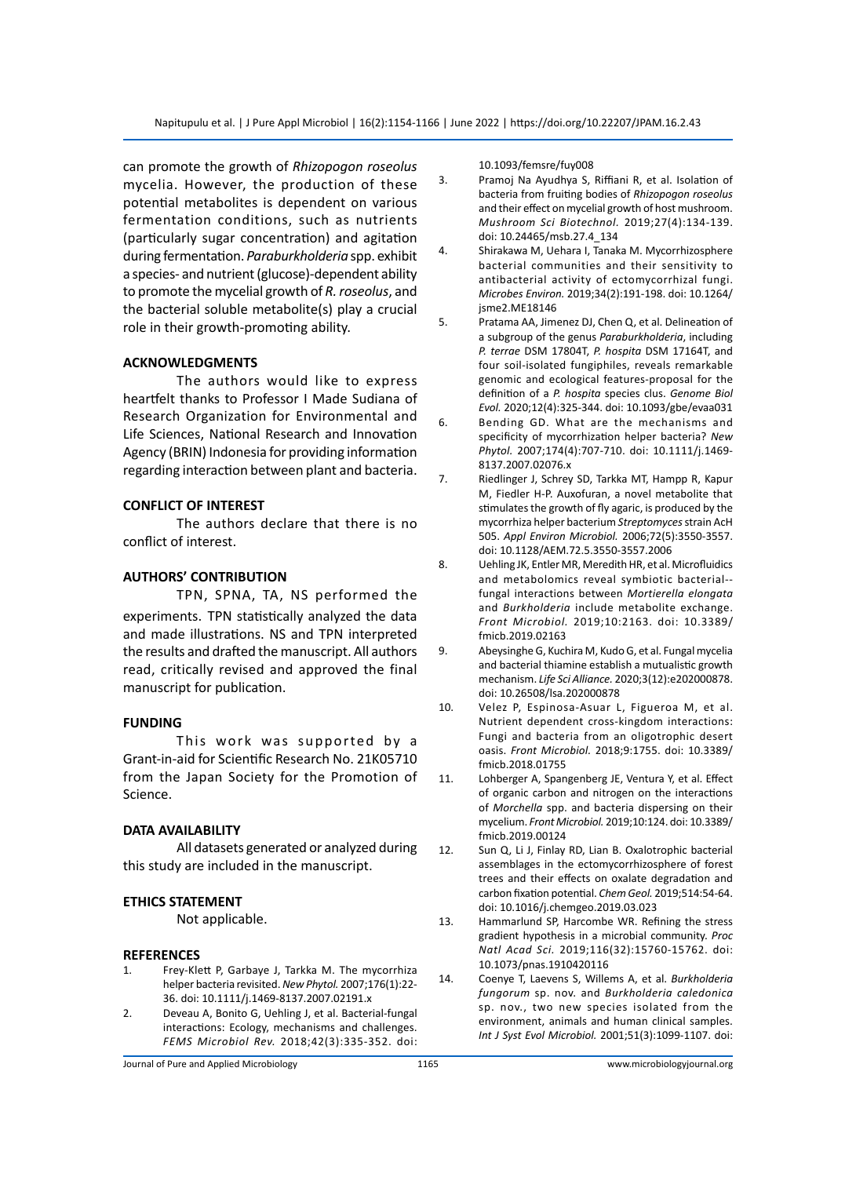can promote the growth of *Rhizopogon roseolus* mycelia. However, the production of these potential metabolites is dependent on various fermentation conditions, such as nutrients (particularly sugar concentration) and agitation during fermentation. *Paraburkholderia* spp. exhibit a species- and nutrient (glucose)-dependent ability to promote the mycelial growth of *R. roseolus*, and the bacterial soluble metabolite(s) play a crucial role in their growth-promoting ability.

#### **ACKNOWLEDGMENTS**

The authors would like to express heartfelt thanks to Professor I Made Sudiana of Research Organization for Environmental and Life Sciences, National Research and Innovation Agency (BRIN) Indonesia for providing information regarding interaction between plant and bacteria.

#### **CONFLICT OF INTEREST**

The authors declare that there is no conflict of interest.

#### **AUTHORS' CONTRIBUTION**

TPN, SPNA, TA, NS performed the experiments. TPN statistically analyzed the data and made illustrations. NS and TPN interpreted the results and drafted the manuscript. All authors read, critically revised and approved the final manuscript for publication.

#### **FUNDING**

This work was supported by a Grant-in-aid for Scientific Research No. 21K05710 from the Japan Society for the Promotion of Science.

#### **DATA AVAILABILITY**

All datasets generated or analyzed during this study are included in the manuscript.

#### **ETHICS STATEMENT**

Not applicable.

#### **REFERENCES**

- 1. Frey-Klett P, Garbaye J, Tarkka M. The mycorrhiza helper bacteria revisited. *New Phytol.* 2007;176(1):22- 36. doi: 10.1111/j.1469-8137.2007.02191.x
- 2. Deveau A, Bonito G, Uehling J, et al. Bacterial-fungal interactions: Ecology, mechanisms and challenges. *FEMS Microbiol Rev.* 2018;42(3):335-352. doi:

10.1093/femsre/fuy008

3. Pramoj Na Ayudhya S, Riffiani R, et al. Isolation of bacteria from fruiting bodies of *Rhizopogon roseolus* and their effect on mycelial growth of host mushroom. *Mushroom Sci Biotechnol.* 2019;27(4):134-139. doi: 10.24465/msb.27.4\_134

4. Shirakawa M, Uehara I, Tanaka M. Mycorrhizosphere bacterial communities and their sensitivity to antibacterial activity of ectomycorrhizal fungi. *Microbes Environ.* 2019;34(2):191-198. doi: 10.1264/ jsme2.ME18146

- 5. Pratama AA, Jimenez DJ, Chen Q, et al. Delineation of a subgroup of the genus *Paraburkholderia*, including *P. terrae* DSM 17804T, *P. hospita* DSM 17164T, and four soil-isolated fungiphiles, reveals remarkable genomic and ecological features-proposal for the definition of a *P. hospita* species clus. *Genome Biol Evol.* 2020;12(4):325-344. doi: 10.1093/gbe/evaa031
- 6. Bending GD. What are the mechanisms and specificity of mycorrhization helper bacteria? *New Phytol.* 2007;174(4):707-710. doi: 10.1111/j.1469- 8137.2007.02076.x
- 7. Riedlinger J, Schrey SD, Tarkka MT, Hampp R, Kapur M, Fiedler H-P. Auxofuran, a novel metabolite that stimulates the growth of fly agaric, is produced by the mycorrhiza helper bacterium *Streptomyces* strain AcH 505. *Appl Environ Microbiol.* 2006;72(5):3550-3557. doi: 10.1128/AEM.72.5.3550-3557.2006
- 8. Uehling JK, Entler MR, Meredith HR, et al. Microfluidics and metabolomics reveal symbiotic bacterial- fungal interactions between *Mortierella elongata* and *Burkholderia* include metabolite exchange. *Front Microbiol.* 2019;10:2163. doi: 10.3389/ fmicb.2019.02163
- 9. Abeysinghe G, Kuchira M, Kudo G, et al. Fungal mycelia and bacterial thiamine establish a mutualistic growth mechanism. *Life Sci Alliance.* 2020;3(12):e202000878. doi: 10.26508/lsa.202000878
- 10. Velez P, Espinosa-Asuar L, Figueroa M, et al. Nutrient dependent cross-kingdom interactions: Fungi and bacteria from an oligotrophic desert oasis. *Front Microbiol.* 2018;9:1755. doi: 10.3389/ fmicb.2018.01755
- 11. Lohberger A, Spangenberg JE, Ventura Y, et al. Effect of organic carbon and nitrogen on the interactions of *Morchella* spp. and bacteria dispersing on their mycelium. *Front Microbiol.* 2019;10:124. doi: 10.3389/ fmicb.2019.00124
- 12. Sun Q, Li J, Finlay RD, Lian B. Oxalotrophic bacterial assemblages in the ectomycorrhizosphere of forest trees and their effects on oxalate degradation and carbon fixation potential. *Chem Geol.* 2019;514:54-64. doi: 10.1016/j.chemgeo.2019.03.023
- 13. Hammarlund SP, Harcombe WR. Refining the stress gradient hypothesis in a microbial community. *Proc Natl Acad Sci.* 2019;116(32):15760-15762. doi: 10.1073/pnas.1910420116
- 14. Coenye T, Laevens S, Willems A, et al. *Burkholderia fungorum* sp. nov. and *Burkholderia caledonica*  sp. nov., two new species isolated from the environment, animals and human clinical samples. *Int J Syst Evol Microbiol.* 2001;51(3):1099-1107. doi: